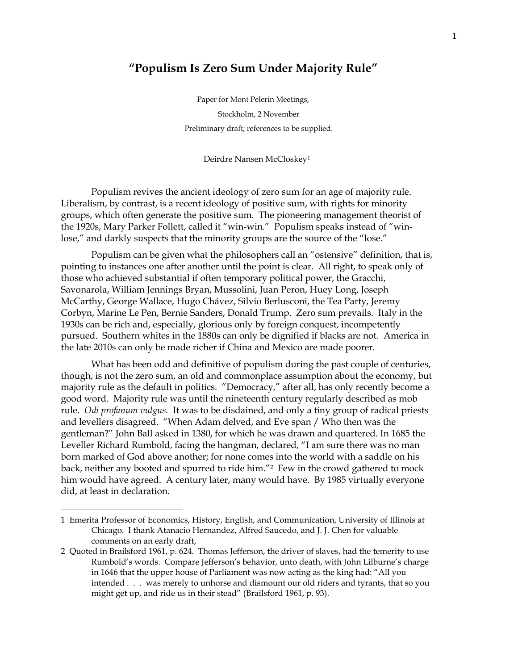## **"Populism Is Zero Sum Under Majority Rule"**

Paper for Mont Pelerin Meetings, Stockholm, 2 November Preliminary draft; references to be supplied.

Deirdre Nansen McCloskey<sup>1</sup>

Populism revives the ancient ideology of zero sum for an age of majority rule. Liberalism, by contrast, is a recent ideology of positive sum, with rights for minority groups, which often generate the positive sum. The pioneering management theorist of the 1920s, Mary Parker Follett, called it "win-win." Populism speaks instead of "winlose," and darkly suspects that the minority groups are the source of the "lose."

Populism can be given what the philosophers call an "ostensive" definition, that is, pointing to instances one after another until the point is clear. All right, to speak only of those who achieved substantial if often temporary political power, the Gracchi, Savonarola, William Jennings Bryan, Mussolini, Juan Peron, Huey Long, Joseph McCarthy, George Wallace, Hugo Chávez, Silvio Berlusconi, the Tea Party, Jeremy Corbyn, Marine Le Pen, Bernie Sanders, Donald Trump. Zero sum prevails. Italy in the 1930s can be rich and, especially, glorious only by foreign conquest, incompetently pursued. Southern whites in the 1880s can only be dignified if blacks are not. America in the late 2010s can only be made richer if China and Mexico are made poorer.

What has been odd and definitive of populism during the past couple of centuries, though, is not the zero sum, an old and commonplace assumption about the economy, but majority rule as the default in politics. "Democracy," after all, has only recently become a good word. Majority rule was until the nineteenth century regularly described as mob rule. *Odi profanum vulgus.* It was to be disdained, and only a tiny group of radical priests and levellers disagreed. "When Adam delved, and Eve span / Who then was the gentleman?" John Ball asked in 1380, for which he was drawn and quartered. In 1685 the Leveller Richard Rumbold, facing the hangman, declared, "I am sure there was no man born marked of God above another; for none comes into the world with a saddle on his back, neither any booted and spurred to ride him."<sup>2</sup> Few in the crowd gathered to mock him would have agreed. A century later, many would have. By 1985 virtually everyone did, at least in declaration.

l

<sup>1</sup> Emerita Professor of Economics, History, English, and Communication, University of Illinois at Chicago. I thank Atanacio Hernandez, Alfred Saucedo, and J. J. Chen for valuable comments on an early draft,

<sup>2</sup> Quoted in Brailsford 1961, p. 624. Thomas Jefferson, the driver of slaves, had the temerity to use Rumbold's words. Compare Jefferson's behavior, unto death, with John Lilburne's charge in 1646 that the upper house of Parliament was now acting as the king had: "All you intended . . . was merely to unhorse and dismount our old riders and tyrants, that so you might get up, and ride us in their stead" (Brailsford 1961, p. 93).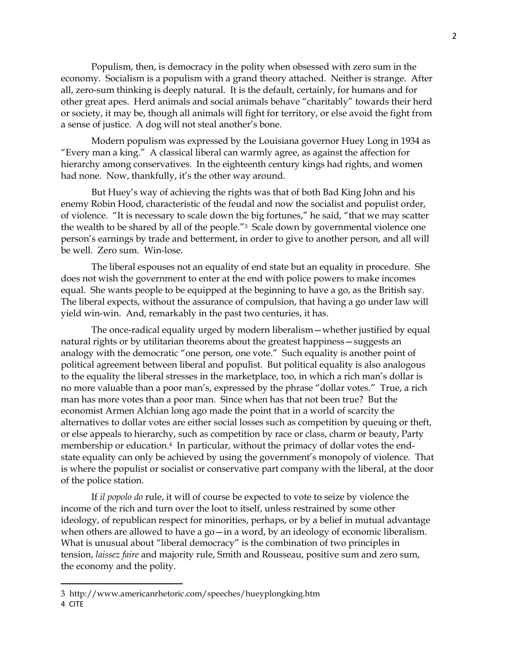Populism, then, is democracy in the polity when obsessed with zero sum in the economy. Socialism is a populism with a grand theory attached. Neither is strange. After all, zero-sum thinking is deeply natural. It is the default, certainly, for humans and for other great apes. Herd animals and social animals behave "charitably" towards their herd or society, it may be, though all animals will fight for territory, or else avoid the fight from a sense of justice. A dog will not steal another's bone.

Modern populism was expressed by the Louisiana governor Huey Long in 1934 as "Every man a king." A classical liberal can warmly agree, as against the affection for hierarchy among conservatives. In the eighteenth century kings had rights, and women had none. Now, thankfully, it's the other way around.

But Huey's way of achieving the rights was that of both Bad King John and his enemy Robin Hood, characteristic of the feudal and now the socialist and populist order, of violence. "It is necessary to scale down the big fortunes," he said, "that we may scatter the wealth to be shared by all of the people."3 Scale down by governmental violence one person's earnings by trade and betterment, in order to give to another person, and all will be well. Zero sum. Win-lose.

The liberal espouses not an equality of end state but an equality in procedure. She does not wish the government to enter at the end with police powers to make incomes equal. She wants people to be equipped at the beginning to have a go, as the British say. The liberal expects, without the assurance of compulsion, that having a go under law will yield win-win. And, remarkably in the past two centuries, it has.

The once-radical equality urged by modern liberalism—whether justified by equal natural rights or by utilitarian theorems about the greatest happiness—suggests an analogy with the democratic "one person, one vote." Such equality is another point of political agreement between liberal and populist. But political equality is also analogous to the equality the liberal stresses in the marketplace, too, in which a rich man's dollar is no more valuable than a poor man's, expressed by the phrase "dollar votes." True, a rich man has more votes than a poor man. Since when has that not been true? But the economist Armen Alchian long ago made the point that in a world of scarcity the alternatives to dollar votes are either social losses such as competition by queuing or theft, or else appeals to hierarchy, such as competition by race or class, charm or beauty, Party membership or education. <sup>4</sup> In particular, without the primacy of dollar votes the endstate equality can only be achieved by using the government's monopoly of violence. That is where the populist or socialist or conservative part company with the liberal, at the door of the police station.

If *il popolo do* rule, it will of course be expected to vote to seize by violence the income of the rich and turn over the loot to itself, unless restrained by some other ideology, of republican respect for minorities, perhaps, or by a belief in mutual advantage when others are allowed to have a go—in a word, by an ideology of economic liberalism. What is unusual about "liberal democracy" is the combination of two principles in tension, *laissez faire* and majority rule, Smith and Rousseau, positive sum and zero sum, the economy and the polity.

<sup>3</sup> http://www.americanrhetoric.com/speeches/hueyplongking.htm

<sup>4</sup> CITE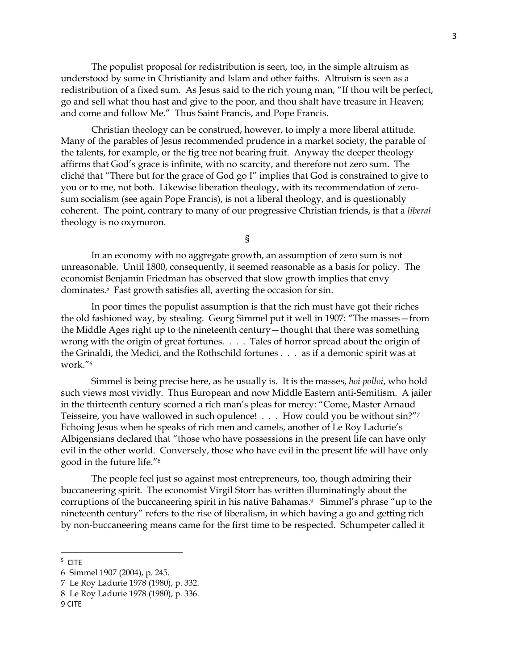The populist proposal for redistribution is seen, too, in the simple altruism as understood by some in Christianity and Islam and other faiths. Altruism is seen as a redistribution of a fixed sum. As Jesus said to the rich young man, "If thou wilt be perfect, go and sell what thou hast and give to the poor, and thou shalt have treasure in Heaven; and come and follow Me." Thus Saint Francis, and Pope Francis.

Christian theology can be construed, however, to imply a more liberal attitude. Many of the parables of Jesus recommended prudence in a market society, the parable of the talents, for example, or the fig tree not bearing fruit. Anyway the deeper theology affirms that God's grace is infinite, with no scarcity, and therefore not zero sum. The cliché that "There but for the grace of God go I" implies that God is constrained to give to you or to me, not both. Likewise liberation theology, with its recommendation of zerosum socialism (see again Pope Francis), is not a liberal theology, and is questionably coherent. The point, contrary to many of our progressive Christian friends, is that a *liberal* theology is no oxymoron.

§

In an economy with no aggregate growth, an assumption of zero sum is not unreasonable. Until 1800, consequently, it seemed reasonable as a basis for policy. The economist Benjamin Friedman has observed that slow growth implies that envy dominates.5 Fast growth satisfies all, averting the occasion for sin.

In poor times the populist assumption is that the rich must have got their riches the old fashioned way, by stealing. Georg Simmel put it well in 1907: "The masses—from the Middle Ages right up to the nineteenth century—thought that there was something wrong with the origin of great fortunes. . . . Tales of horror spread about the origin of the Grinaldi, the Medici, and the Rothschild fortunes . . . as if a demonic spirit was at work."<sup>6</sup>

Simmel is being precise here, as he usually is. It is the masses, *hoi polloi*, who hold such views most vividly. Thus European and now Middle Eastern anti-Semitism. A jailer in the thirteenth century scorned a rich man's pleas for mercy: "Come, Master Arnaud Teisseire, you have wallowed in such opulence! . . . How could you be without sin?"<sup>7</sup> Echoing Jesus when he speaks of rich men and camels, another of Le Roy Ladurie's Albigensians declared that "those who have possessions in the present life can have only evil in the other world. Conversely, those who have evil in the present life will have only good in the future life."<sup>8</sup>

The people feel just so against most entrepreneurs, too, though admiring their buccaneering spirit. The economist Virgil Storr has written illuminatingly about the corruptions of the buccaneering spirit in his native Bahamas. <sup>9</sup> Simmel's phrase "up to the nineteenth century" refers to the rise of liberalism, in which having a go and getting rich by non-buccaneering means came for the first time to be respected. Schumpeter called it

<sup>5</sup> CITE

<sup>6</sup> Simmel 1907 (2004), p. 245.

<sup>7</sup> Le Roy Ladurie 1978 (1980), p. 332.

<sup>8</sup> Le Roy Ladurie 1978 (1980), p. 336.

<sup>9</sup> CITE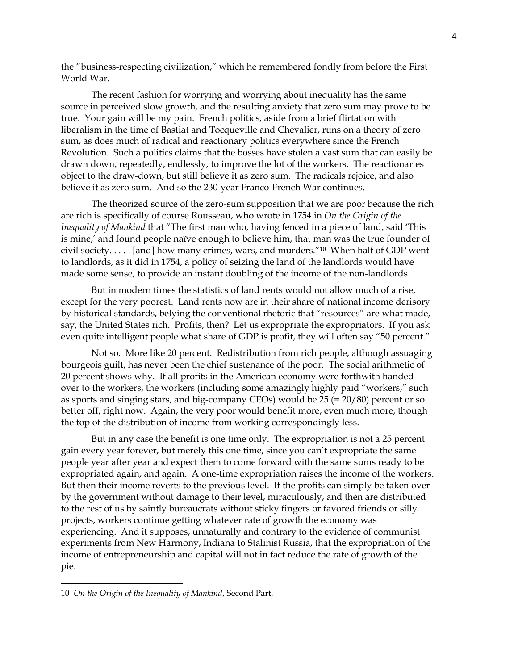the "business-respecting civilization," which he remembered fondly from before the First World War.

The recent fashion for worrying and worrying about inequality has the same source in perceived slow growth, and the resulting anxiety that zero sum may prove to be true. Your gain will be my pain. French politics, aside from a brief flirtation with liberalism in the time of Bastiat and Tocqueville and Chevalier, runs on a theory of zero sum, as does much of radical and reactionary politics everywhere since the French Revolution. Such a politics claims that the bosses have stolen a vast sum that can easily be drawn down, repeatedly, endlessly, to improve the lot of the workers. The reactionaries object to the draw-down, but still believe it as zero sum. The radicals rejoice, and also believe it as zero sum. And so the 230-year Franco-French War continues.

The theorized source of the zero-sum supposition that we are poor because the rich are rich is specifically of course Rousseau, who wrote in 1754 in *On the Origin of the Inequality of Mankind* that "The first man who, having fenced in a piece of land, said 'This is mine,' and found people naïve enough to believe him, that man was the true founder of civil society. . . . . [and] how many crimes, wars, and murders."10 When half of GDP went to landlords, as it did in 1754, a policy of seizing the land of the landlords would have made some sense, to provide an instant doubling of the income of the non-landlords.

But in modern times the statistics of land rents would not allow much of a rise, except for the very poorest. Land rents now are in their share of national income derisory by historical standards, belying the conventional rhetoric that "resources" are what made, say, the United States rich. Profits, then? Let us expropriate the expropriators. If you ask even quite intelligent people what share of GDP is profit, they will often say "50 percent."

Not so. More like 20 percent. Redistribution from rich people, although assuaging bourgeois guilt, has never been the chief sustenance of the poor. The social arithmetic of 20 percent shows why. If all profits in the American economy were forthwith handed over to the workers, the workers (including some amazingly highly paid "workers," such as sports and singing stars, and big-company CEOs) would be  $25 (= 20/80)$  percent or so better off, right now. Again, the very poor would benefit more, even much more, though the top of the distribution of income from working correspondingly less.

But in any case the benefit is one time only. The expropriation is not a 25 percent gain every year forever, but merely this one time, since you can't expropriate the same people year after year and expect them to come forward with the same sums ready to be expropriated again, and again. A one-time expropriation raises the income of the workers. But then their income reverts to the previous level. If the profits can simply be taken over by the government without damage to their level, miraculously, and then are distributed to the rest of us by saintly bureaucrats without sticky fingers or favored friends or silly projects, workers continue getting whatever rate of growth the economy was experiencing. And it supposes, unnaturally and contrary to the evidence of communist experiments from New Harmony, Indiana to Stalinist Russia, that the expropriation of the income of entrepreneurship and capital will not in fact reduce the rate of growth of the pie.

l

<sup>10</sup> *On the Origin of the Inequality of Mankind*, Second Part.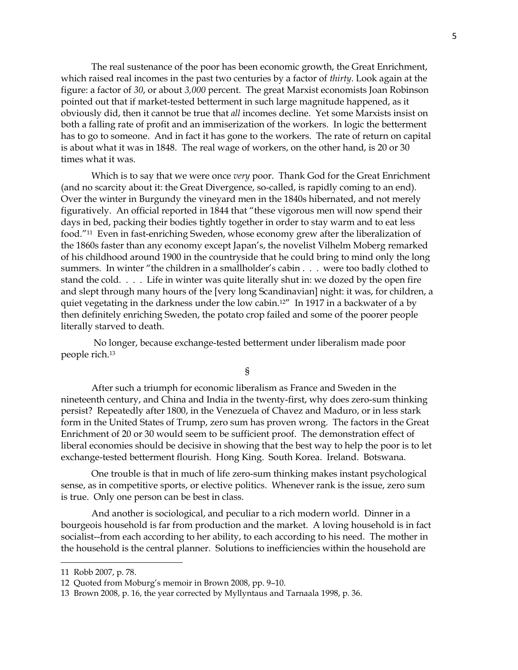The real sustenance of the poor has been economic growth, the Great Enrichment, which raised real incomes in the past two centuries by a factor of *thirty*. Look again at the figure: a factor of *30*, or about *3,000* percent. The great Marxist economists Joan Robinson pointed out that if market-tested betterment in such large magnitude happened, as it obviously did, then it cannot be true that *all* incomes decline. Yet some Marxists insist on both a falling rate of profit and an immiserization of the workers. In logic the betterment has to go to someone. And in fact it has gone to the workers. The rate of return on capital is about what it was in 1848. The real wage of workers, on the other hand, is 20 or 30 times what it was.

Which is to say that we were once *very* poor. Thank God for the Great Enrichment (and no scarcity about it: the Great Divergence, so-called, is rapidly coming to an end). Over the winter in Burgundy the vineyard men in the 1840s hibernated, and not merely figuratively. An official reported in 1844 that "these vigorous men will now spend their days in bed, packing their bodies tightly together in order to stay warm and to eat less food."<sup>11</sup> Even in fast-enriching Sweden, whose economy grew after the liberalization of the 1860s faster than any economy except Japan's, the novelist Vilhelm Moberg remarked of his childhood around 1900 in the countryside that he could bring to mind only the long summers. In winter "the children in a smallholder's cabin . . . were too badly clothed to stand the cold. . . . Life in winter was quite literally shut in: we dozed by the open fire and slept through many hours of the [very long Scandinavian] night: it was, for children, a quiet vegetating in the darkness under the low cabin.<sup>12"</sup> In 1917 in a backwater of a by then definitely enriching Sweden, the potato crop failed and some of the poorer people literally starved to death.

No longer, because exchange-tested betterment under liberalism made poor people rich.<sup>13</sup>

§

After such a triumph for economic liberalism as France and Sweden in the nineteenth century, and China and India in the twenty-first, why does zero-sum thinking persist? Repeatedly after 1800, in the Venezuela of Chavez and Maduro, or in less stark form in the United States of Trump, zero sum has proven wrong. The factors in the Great Enrichment of 20 or 30 would seem to be sufficient proof. The demonstration effect of liberal economies should be decisive in showing that the best way to help the poor is to let exchange-tested betterment flourish. Hong King. South Korea. Ireland. Botswana.

One trouble is that in much of life zero-sum thinking makes instant psychological sense, as in competitive sports, or elective politics. Whenever rank is the issue, zero sum is true. Only one person can be best in class.

And another is sociological, and peculiar to a rich modern world. Dinner in a bourgeois household is far from production and the market. A loving household is in fact socialist--from each according to her ability, to each according to his need. The mother in the household is the central planner. Solutions to inefficiencies within the household are

<sup>11</sup> Robb 2007, p. 78.

<sup>12</sup> Quoted from Moburg's memoir in Brown 2008, pp. 9–10.

<sup>13</sup> Brown 2008, p. 16, the year corrected by Myllyntaus and Tarnaala 1998, p. 36.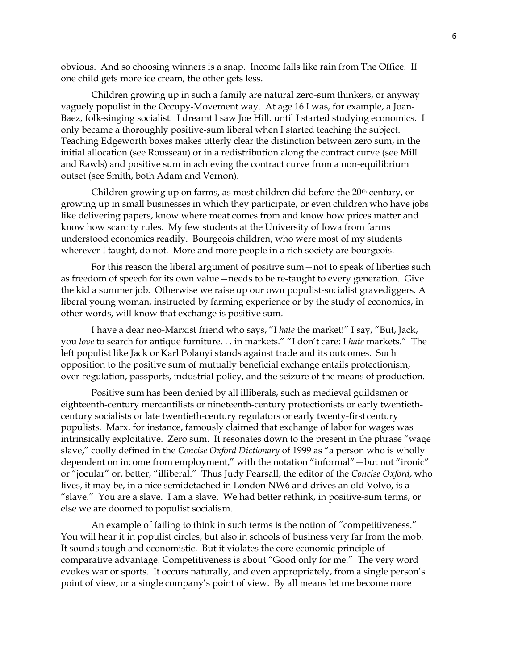obvious. And so choosing winners is a snap. Income falls like rain from The Office. If one child gets more ice cream, the other gets less.

Children growing up in such a family are natural zero-sum thinkers, or anyway vaguely populist in the Occupy-Movement way. At age 16 I was, for example, a Joan-Baez, folk-singing socialist. I dreamt I saw Joe Hill. until I started studying economics. I only became a thoroughly positive-sum liberal when I started teaching the subject. Teaching Edgeworth boxes makes utterly clear the distinction between zero sum, in the initial allocation (see Rousseau) or in a redistribution along the contract curve (see Mill and Rawls) and positive sum in achieving the contract curve from a non-equilibrium outset (see Smith, both Adam and Vernon).

Children growing up on farms, as most children did before the  $20<sup>th</sup>$  century, or growing up in small businesses in which they participate, or even children who have jobs like delivering papers, know where meat comes from and know how prices matter and know how scarcity rules. My few students at the University of Iowa from farms understood economics readily. Bourgeois children, who were most of my students wherever I taught, do not. More and more people in a rich society are bourgeois.

For this reason the liberal argument of positive sum—not to speak of liberties such as freedom of speech for its own value—needs to be re-taught to every generation. Give the kid a summer job. Otherwise we raise up our own populist-socialist gravediggers. A liberal young woman, instructed by farming experience or by the study of economics, in other words, will know that exchange is positive sum.

I have a dear neo-Marxist friend who says, "I *hate* the market!" I say, "But, Jack, you *love* to search for antique furniture. . . in markets." "I don't care: I *hate* markets." The left populist like Jack or Karl Polanyi stands against trade and its outcomes. Such opposition to the positive sum of mutually beneficial exchange entails protectionism, over-regulation, passports, industrial policy, and the seizure of the means of production.

Positive sum has been denied by all illiberals, such as medieval guildsmen or eighteenth-century mercantilists or nineteenth-century protectionists or early twentiethcentury socialists or late twentieth-century regulators or early twenty-first century populists. Marx, for instance, famously claimed that exchange of labor for wages was intrinsically exploitative. Zero sum. It resonates down to the present in the phrase "wage slave," coolly defined in the *Concise Oxford Dictionary* of 1999 as "a person who is wholly dependent on income from employment," with the notation "informal"—but not "ironic" or "jocular" or, better, "illiberal." Thus Judy Pearsall, the editor of the *Concise Oxford*, who lives, it may be, in a nice semidetached in London NW6 and drives an old Volvo, is a "slave." You are a slave. I am a slave. We had better rethink, in positive-sum terms, or else we are doomed to populist socialism.

An example of failing to think in such terms is the notion of "competitiveness." You will hear it in populist circles, but also in schools of business very far from the mob. It sounds tough and economistic. But it violates the core economic principle of comparative advantage. Competitiveness is about "Good only for me." The very word evokes war or sports. It occurs naturally, and even appropriately, from a single person's point of view, or a single company's point of view. By all means let me become more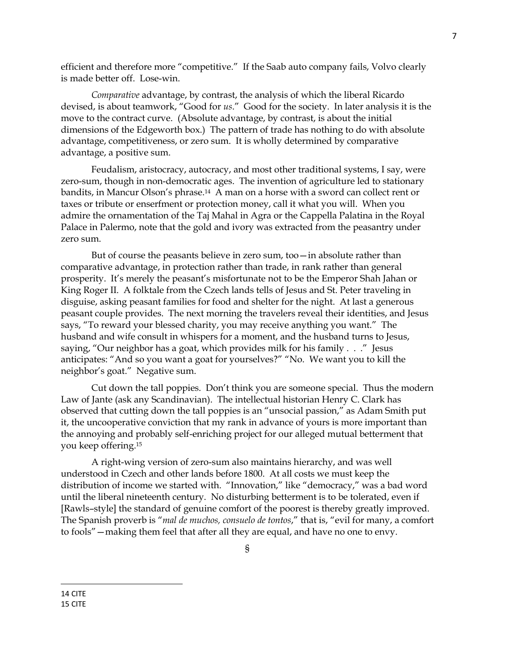efficient and therefore more "competitive." If the Saab auto company fails, Volvo clearly is made better off. Lose-win.

*Comparative* advantage, by contrast, the analysis of which the liberal Ricardo devised, is about teamwork, "Good for *us*." Good for the society. In later analysis it is the move to the contract curve. (Absolute advantage, by contrast, is about the initial dimensions of the Edgeworth box.) The pattern of trade has nothing to do with absolute advantage, competitiveness, or zero sum. It is wholly determined by comparative advantage, a positive sum.

 Feudalism, aristocracy, autocracy, and most other traditional systems, I say, were zero-sum, though in non-democratic ages. The invention of agriculture led to stationary bandits, in Mancur Olson's phrase.14 A man on a horse with a sword can collect rent or taxes or tribute or enserfment or protection money, call it what you will. When you admire the ornamentation of the Taj Mahal in Agra or the Cappella Palatina in the Royal Palace in Palermo, note that the gold and ivory was extracted from the peasantry under zero sum.

But of course the peasants believe in zero sum, too—in absolute rather than comparative advantage, in protection rather than trade, in rank rather than general prosperity. It's merely the peasant's misfortunate not to be the Emperor Shah Jahan or King Roger II. A folktale from the Czech lands tells of Jesus and St. Peter traveling in disguise, asking peasant families for food and shelter for the night. At last a generous peasant couple provides. The next morning the travelers reveal their identities, and Jesus says, "To reward your blessed charity, you may receive anything you want." The husband and wife consult in whispers for a moment, and the husband turns to Jesus, saying, "Our neighbor has a goat, which provides milk for his family . . ." Jesus anticipates: "And so you want a goat for yourselves?" "No. We want you to kill the neighbor's goat." Negative sum.

Cut down the tall poppies. Don't think you are someone special. Thus the modern Law of Jante (ask any Scandinavian). The intellectual historian Henry C. Clark has observed that cutting down the tall poppies is an "unsocial passion," as Adam Smith put it, the uncooperative conviction that my rank in advance of yours is more important than the annoying and probably self-enriching project for our alleged mutual betterment that you keep offering.<sup>15</sup>

A right-wing version of zero-sum also maintains hierarchy, and was well understood in Czech and other lands before 1800. At all costs we must keep the distribution of income we started with. "Innovation," like "democracy," was a bad word until the liberal nineteenth century. No disturbing betterment is to be tolerated, even if [Rawls–style] the standard of genuine comfort of the poorest is thereby greatly improved. The Spanish proverb is "*mal de muchos, consuelo de tontos*," that is, "evil for many, a comfort to fools"—making them feel that after all they are equal, and have no one to envy.

 $\overline{\phantom{a}}$ 

<sup>14</sup> CITE 15 CITE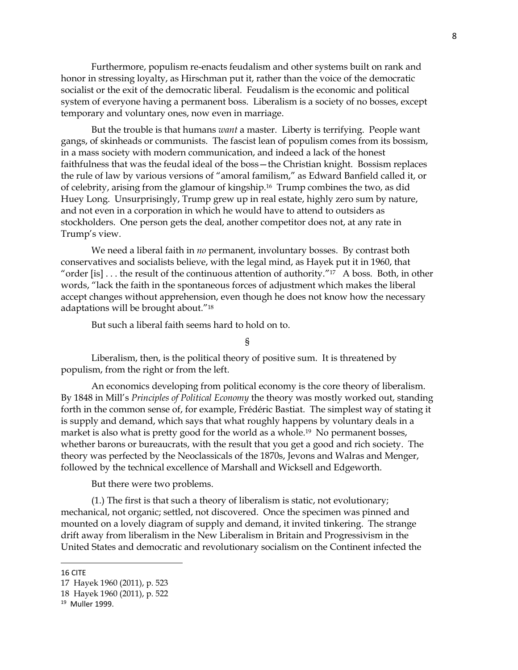Furthermore, populism re-enacts feudalism and other systems built on rank and honor in stressing loyalty, as Hirschman put it, rather than the voice of the democratic socialist or the exit of the democratic liberal. Feudalism is the economic and political system of everyone having a permanent boss. Liberalism is a society of no bosses, except temporary and voluntary ones, now even in marriage.

But the trouble is that humans *want* a master. Liberty is terrifying. People want gangs, of skinheads or communists. The fascist lean of populism comes from its bossism, in a mass society with modern communication, and indeed a lack of the honest faithfulness that was the feudal ideal of the boss—the Christian knight. Bossism replaces the rule of law by various versions of "amoral familism," as Edward Banfield called it, or of celebrity, arising from the glamour of kingship.16 Trump combines the two, as did Huey Long. Unsurprisingly, Trump grew up in real estate, highly zero sum by nature, and not even in a corporation in which he would have to attend to outsiders as stockholders. One person gets the deal, another competitor does not, at any rate in Trump's view.

We need a liberal faith in *no* permanent, involuntary bosses. By contrast both conservatives and socialists believe, with the legal mind, as Hayek put it in 1960, that "order [is]  $\ldots$  the result of the continuous attention of authority."<sup>17</sup> A boss. Both, in other words, "lack the faith in the spontaneous forces of adjustment which makes the liberal accept changes without apprehension, even though he does not know how the necessary adaptations will be brought about."<sup>18</sup>

But such a liberal faith seems hard to hold on to.

§

Liberalism, then, is the political theory of positive sum. It is threatened by populism, from the right or from the left.

An economics developing from political economy is the core theory of liberalism. By 1848 in Mill's *Principles of Political Economy* the theory was mostly worked out, standing forth in the common sense of, for example, Frédéric Bastiat. The simplest way of stating it is supply and demand, which says that what roughly happens by voluntary deals in a market is also what is pretty good for the world as a whole.19 No permanent bosses, whether barons or bureaucrats, with the result that you get a good and rich society. The theory was perfected by the Neoclassicals of the 1870s, Jevons and Walras and Menger, followed by the technical excellence of Marshall and Wicksell and Edgeworth.

But there were two problems.

(1.) The first is that such a theory of liberalism is static, not evolutionary; mechanical, not organic; settled, not discovered. Once the specimen was pinned and mounted on a lovely diagram of supply and demand, it invited tinkering. The strange drift away from liberalism in the New Liberalism in Britain and Progressivism in the United States and democratic and revolutionary socialism on the Continent infected the

<sup>16</sup> CITE

<sup>17</sup> Hayek 1960 (2011), p. 523

<sup>18</sup> Hayek 1960 (2011), p. 522

<sup>19</sup> Muller 1999.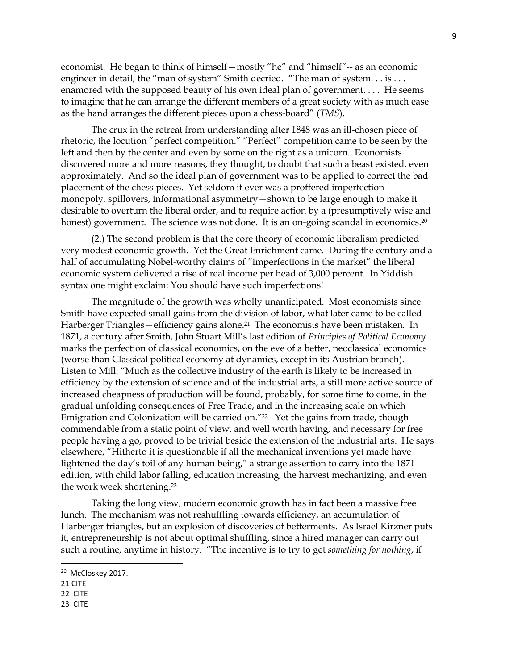economist. He began to think of himself—mostly "he" and "himself"-- as an economic engineer in detail, the "man of system" Smith decried. "The man of system... is ... enamored with the supposed beauty of his own ideal plan of government. . . . He seems to imagine that he can arrange the different members of a great society with as much ease as the hand arranges the different pieces upon a chess-board" (*TMS*).

The crux in the retreat from understanding after 1848 was an ill-chosen piece of rhetoric, the locution "perfect competition." "Perfect" competition came to be seen by the left and then by the center and even by some on the right as a unicorn. Economists discovered more and more reasons, they thought, to doubt that such a beast existed, even approximately. And so the ideal plan of government was to be applied to correct the bad placement of the chess pieces. Yet seldom if ever was a proffered imperfection monopoly, spillovers, informational asymmetry—shown to be large enough to make it desirable to overturn the liberal order, and to require action by a (presumptively wise and honest) government. The science was not done. It is an on-going scandal in economics.<sup>20</sup>

(2.) The second problem is that the core theory of economic liberalism predicted very modest economic growth. Yet the Great Enrichment came. During the century and a half of accumulating Nobel-worthy claims of "imperfections in the market" the liberal economic system delivered a rise of real income per head of 3,000 percent. In Yiddish syntax one might exclaim: You should have such imperfections!

The magnitude of the growth was wholly unanticipated. Most economists since Smith have expected small gains from the division of labor, what later came to be called Harberger Triangles—efficiency gains alone. <sup>21</sup> The economists have been mistaken. In 1871, a century after Smith, John Stuart Mill's last edition of *Principles of Political Economy* marks the perfection of classical economics, on the eve of a better, neoclassical economics (worse than Classical political economy at dynamics, except in its Austrian branch). Listen to Mill: "Much as the collective industry of the earth is likely to be increased in efficiency by the extension of science and of the industrial arts, a still more active source of increased cheapness of production will be found, probably, for some time to come, in the gradual unfolding consequences of Free Trade, and in the increasing scale on which Emigration and Colonization will be carried on."<sup>22</sup> Yet the gains from trade, though commendable from a static point of view, and well worth having, and necessary for free people having a go, proved to be trivial beside the extension of the industrial arts. He says elsewhere, "Hitherto it is questionable if all the mechanical inventions yet made have lightened the day's toil of any human being," a strange assertion to carry into the 1871 edition, with child labor falling, education increasing, the harvest mechanizing, and even the work week shortening. 23

Taking the long view, modern economic growth has in fact been a massive free lunch. The mechanism was not reshuffling towards efficiency, an accumulation of Harberger triangles, but an explosion of discoveries of betterments. As Israel Kirzner puts it, entrepreneurship is not about optimal shuffling, since a hired manager can carry out such a routine, anytime in history. "The incentive is to try to get *something for nothing*, if

l

<sup>&</sup>lt;sup>20</sup> McCloskey 2017.

<sup>21</sup> CITE

<sup>22</sup> CITE

<sup>23</sup> CITE